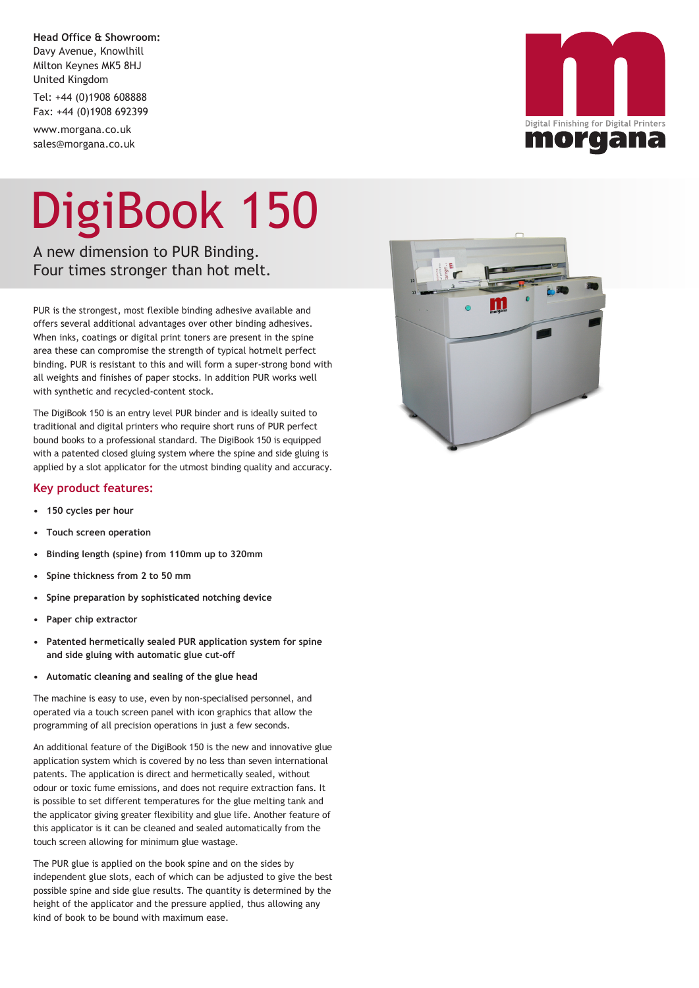**Head Office & Showroom:** Davy Avenue, Knowlhill Milton Keynes MK5 8HJ United Kingdom

Tel: +44 (0)1908 608888 Fax: +44 (0)1908 692399

www.morgana.co.uk sales@morgana.co.uk

## DigiBook 150

A new dimension to PUR Binding. Four times stronger than hot melt.

PUR is the strongest, most flexible binding adhesive available and offers several additional advantages over other binding adhesives. When inks, coatings or digital print toners are present in the spine area these can compromise the strength of typical hotmelt perfect binding. PUR is resistant to this and will form a super-strong bond with all weights and finishes of paper stocks. In addition PUR works well with synthetic and recycled-content stock.

The DigiBook 150 is an entry level PUR binder and is ideally suited to traditional and digital printers who require short runs of PUR perfect bound books to a professional standard. The DigiBook 150 is equipped with a patented closed gluing system where the spine and side gluing is applied by a slot applicator for the utmost binding quality and accuracy.

## **Key product features:**

- **• 150 cycles per hour**
- **• Touch screen operation**
- **• Binding length (spine) from 110mm up to 320mm**
- **• Spine thickness from 2 to 50 mm**
- **• Spine preparation by sophisticated notching device**
- **• Paper chip extractor**
- **• Patented hermetically sealed PUR application system for spine and side gluing with automatic glue cut-off**
- **• Automatic cleaning and sealing of the glue head**

The machine is easy to use, even by non-specialised personnel, and operated via a touch screen panel with icon graphics that allow the programming of all precision operations in just a few seconds.

An additional feature of the DigiBook 150 is the new and innovative glue application system which is covered by no less than seven international patents. The application is direct and hermetically sealed, without odour or toxic fume emissions, and does not require extraction fans. It is possible to set different temperatures for the glue melting tank and the applicator giving greater flexibility and glue life. Another feature of this applicator is it can be cleaned and sealed automatically from the touch screen allowing for minimum glue wastage.

The PUR glue is applied on the book spine and on the sides by independent glue slots, each of which can be adjusted to give the best possible spine and side glue results. The quantity is determined by the height of the applicator and the pressure applied, thus allowing any kind of book to be bound with maximum ease.